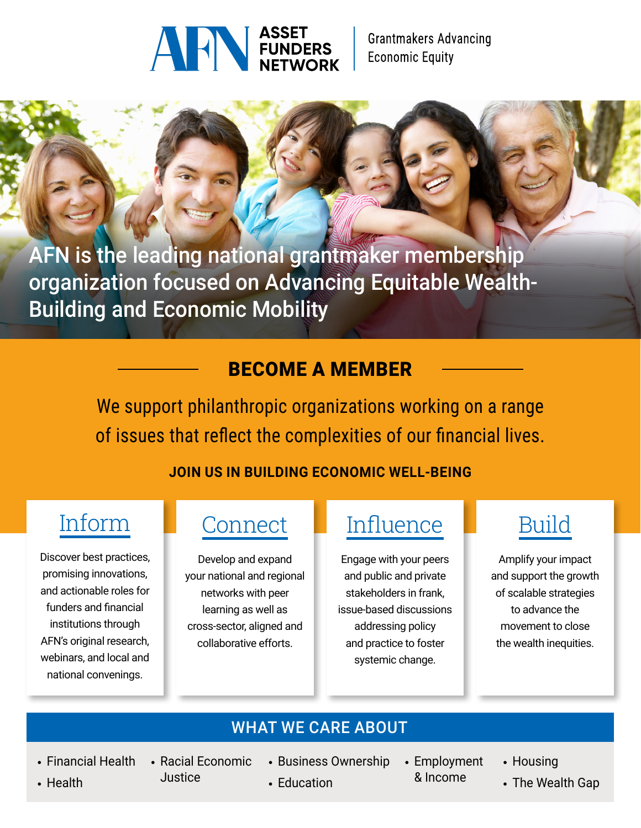

AFN is the leading national grantmaker membership organization focused on Advancing Equitable Wealth-Building and Economic Mobility

## BECOME A MEMBER

We support philanthropic organizations working on a range of issues that reflect the complexities of our financial lives.

#### **JOIN US IN BUILDING ECONOMIC WELL-BEING**

## Inform

Discover best practices, promising innovations, and actionable roles for funders and financial institutions through AFN's original research, webinars, and local and national convenings.

## **Connect**

Develop and expand your national and regional networks with peer learning as well as cross-sector, aligned and collaborative efforts.

## **Influence**

Engage with your peers and public and private stakeholders in frank, issue-based discussions addressing policy and practice to foster systemic change.

# Build

Amplify your impact and support the growth of scalable strategies to advance the movement to close the wealth inequities.

### WHAT WE CARE ABOUT

- 
- Racial Economic **Justice**
- Financial Health Racial Economic Business Ownership Employment
	- & Income
- Housing
- Education  **The Wealth Gap**

• Health